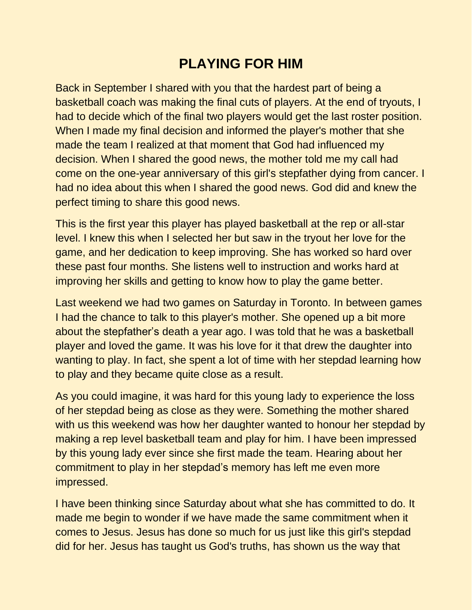## **PLAYING FOR HIM**

Back in September I shared with you that the hardest part of being a basketball coach was making the final cuts of players. At the end of tryouts, I had to decide which of the final two players would get the last roster position. When I made my final decision and informed the player's mother that she made the team I realized at that moment that God had influenced my decision. When I shared the good news, the mother told me my call had come on the one-year anniversary of this girl's stepfather dying from cancer. I had no idea about this when I shared the good news. God did and knew the perfect timing to share this good news.

This is the first year this player has played basketball at the rep or all-star level. I knew this when I selected her but saw in the tryout her love for the game, and her dedication to keep improving. She has worked so hard over these past four months. She listens well to instruction and works hard at improving her skills and getting to know how to play the game better.

Last weekend we had two games on Saturday in Toronto. In between games I had the chance to talk to this player's mother. She opened up a bit more about the stepfather's death a year ago. I was told that he was a basketball player and loved the game. It was his love for it that drew the daughter into wanting to play. In fact, she spent a lot of time with her stepdad learning how to play and they became quite close as a result.

As you could imagine, it was hard for this young lady to experience the loss of her stepdad being as close as they were. Something the mother shared with us this weekend was how her daughter wanted to honour her stepdad by making a rep level basketball team and play for him. I have been impressed by this young lady ever since she first made the team. Hearing about her commitment to play in her stepdad's memory has left me even more impressed.

I have been thinking since Saturday about what she has committed to do. It made me begin to wonder if we have made the same commitment when it comes to Jesus. Jesus has done so much for us just like this girl's stepdad did for her. Jesus has taught us God's truths, has shown us the way that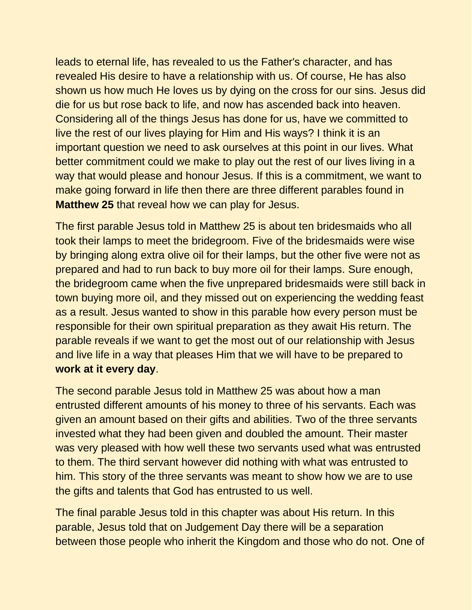leads to eternal life, has revealed to us the Father's character, and has revealed His desire to have a relationship with us. Of course, He has also shown us how much He loves us by dying on the cross for our sins. Jesus did die for us but rose back to life, and now has ascended back into heaven. Considering all of the things Jesus has done for us, have we committed to live the rest of our lives playing for Him and His ways? I think it is an important question we need to ask ourselves at this point in our lives. What better commitment could we make to play out the rest of our lives living in a way that would please and honour Jesus. If this is a commitment, we want to make going forward in life then there are three different parables found in **Matthew 25** that reveal how we can play for Jesus.

The first parable Jesus told in Matthew 25 is about ten bridesmaids who all took their lamps to meet the bridegroom. Five of the bridesmaids were wise by bringing along extra olive oil for their lamps, but the other five were not as prepared and had to run back to buy more oil for their lamps. Sure enough, the bridegroom came when the five unprepared bridesmaids were still back in town buying more oil, and they missed out on experiencing the wedding feast as a result. Jesus wanted to show in this parable how every person must be responsible for their own spiritual preparation as they await His return. The parable reveals if we want to get the most out of our relationship with Jesus and live life in a way that pleases Him that we will have to be prepared to **work at it every day**.

The second parable Jesus told in Matthew 25 was about how a man entrusted different amounts of his money to three of his servants. Each was given an amount based on their gifts and abilities. Two of the three servants invested what they had been given and doubled the amount. Their master was very pleased with how well these two servants used what was entrusted to them. The third servant however did nothing with what was entrusted to him. This story of the three servants was meant to show how we are to use the gifts and talents that God has entrusted to us well.

The final parable Jesus told in this chapter was about His return. In this parable, Jesus told that on Judgement Day there will be a separation between those people who inherit the Kingdom and those who do not. One of